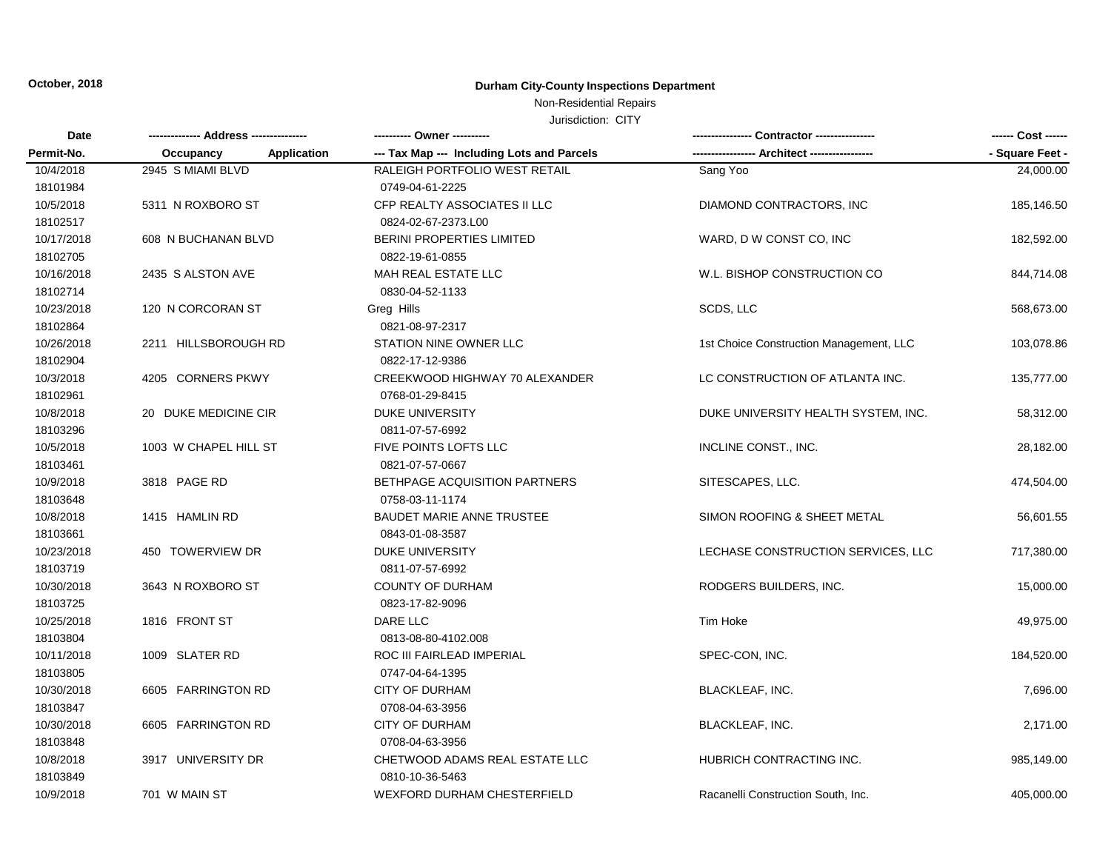# Non-Residential Repairs

| Date       |                          |                                            | - Contractor ---------------            |                 |
|------------|--------------------------|--------------------------------------------|-----------------------------------------|-----------------|
| Permit-No. | Application<br>Occupancy | --- Tax Map --- Including Lots and Parcels | -- Architect ----------                 | - Square Feet - |
| 10/4/2018  | 2945 S MIAMI BLVD        | RALEIGH PORTFOLIO WEST RETAIL              | Sang Yoo                                | 24,000.00       |
| 18101984   |                          | 0749-04-61-2225                            |                                         |                 |
| 10/5/2018  | 5311 N ROXBORO ST        | CFP REALTY ASSOCIATES II LLC               | DIAMOND CONTRACTORS, INC                | 185,146.50      |
| 18102517   |                          | 0824-02-67-2373.L00                        |                                         |                 |
| 10/17/2018 | 608 N BUCHANAN BLVD      | <b>BERINI PROPERTIES LIMITED</b>           | WARD, D W CONST CO, INC                 | 182,592.00      |
| 18102705   |                          | 0822-19-61-0855                            |                                         |                 |
| 10/16/2018 | 2435 S ALSTON AVE        | MAH REAL ESTATE LLC                        | W.L. BISHOP CONSTRUCTION CO             | 844,714.08      |
| 18102714   |                          | 0830-04-52-1133                            |                                         |                 |
| 10/23/2018 | 120 N CORCORAN ST        | Greg Hills                                 | SCDS, LLC                               | 568,673.00      |
| 18102864   |                          | 0821-08-97-2317                            |                                         |                 |
| 10/26/2018 | 2211 HILLSBOROUGH RD     | STATION NINE OWNER LLC                     | 1st Choice Construction Management, LLC | 103,078.86      |
| 18102904   |                          | 0822-17-12-9386                            |                                         |                 |
| 10/3/2018  | 4205 CORNERS PKWY        | CREEKWOOD HIGHWAY 70 ALEXANDER             | LC CONSTRUCTION OF ATLANTA INC.         | 135,777.00      |
| 18102961   |                          | 0768-01-29-8415                            |                                         |                 |
| 10/8/2018  | 20 DUKE MEDICINE CIR     | <b>DUKE UNIVERSITY</b>                     | DUKE UNIVERSITY HEALTH SYSTEM, INC.     | 58,312.00       |
| 18103296   |                          | 0811-07-57-6992                            |                                         |                 |
| 10/5/2018  | 1003 W CHAPEL HILL ST    | <b>FIVE POINTS LOFTS LLC</b>               | INCLINE CONST., INC.                    | 28,182.00       |
| 18103461   |                          | 0821-07-57-0667                            |                                         |                 |
| 10/9/2018  | 3818 PAGE RD             | BETHPAGE ACQUISITION PARTNERS              | SITESCAPES, LLC.                        | 474,504.00      |
| 18103648   |                          | 0758-03-11-1174                            |                                         |                 |
| 10/8/2018  | 1415 HAMLIN RD           | <b>BAUDET MARIE ANNE TRUSTEE</b>           | SIMON ROOFING & SHEET METAL             | 56,601.55       |
| 18103661   |                          | 0843-01-08-3587                            |                                         |                 |
| 10/23/2018 | 450 TOWERVIEW DR         | <b>DUKE UNIVERSITY</b>                     | LECHASE CONSTRUCTION SERVICES, LLC      | 717,380.00      |
| 18103719   |                          | 0811-07-57-6992                            |                                         |                 |
| 10/30/2018 | 3643 N ROXBORO ST        | <b>COUNTY OF DURHAM</b>                    | RODGERS BUILDERS, INC.                  | 15,000.00       |
| 18103725   |                          | 0823-17-82-9096                            |                                         |                 |
| 10/25/2018 | 1816 FRONT ST            | <b>DARE LLC</b>                            | Tim Hoke                                | 49,975.00       |
| 18103804   |                          | 0813-08-80-4102.008                        |                                         |                 |
| 10/11/2018 | 1009 SLATER RD           | ROC III FAIRLEAD IMPERIAL                  | SPEC-CON, INC.                          | 184,520.00      |
| 18103805   |                          | 0747-04-64-1395                            |                                         |                 |
| 10/30/2018 | 6605 FARRINGTON RD       | CITY OF DURHAM                             | <b>BLACKLEAF, INC.</b>                  | 7,696.00        |
| 18103847   |                          | 0708-04-63-3956                            |                                         |                 |
| 10/30/2018 | 6605 FARRINGTON RD       | <b>CITY OF DURHAM</b>                      | BLACKLEAF, INC.                         | 2,171.00        |
| 18103848   |                          | 0708-04-63-3956                            |                                         |                 |
| 10/8/2018  | 3917 UNIVERSITY DR       | CHETWOOD ADAMS REAL ESTATE LLC             | HUBRICH CONTRACTING INC.                | 985,149.00      |
| 18103849   |                          | 0810-10-36-5463                            |                                         |                 |
| 10/9/2018  | 701 W MAIN ST            | <b>WEXFORD DURHAM CHESTERFIELD</b>         | Racanelli Construction South, Inc.      | 405.000.00      |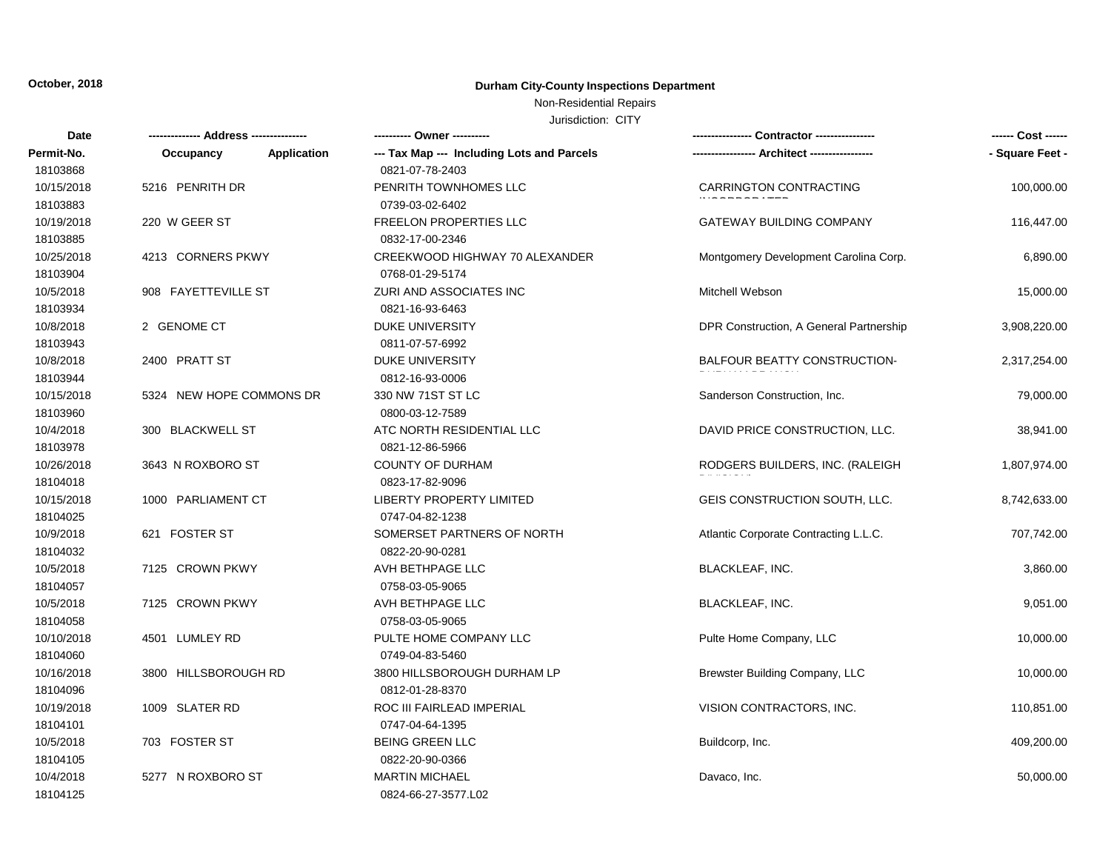### Non-Residential Repairs

| Date       |                          |                                            | -- Contractor ----------------          | ------ Cost ------ |
|------------|--------------------------|--------------------------------------------|-----------------------------------------|--------------------|
| Permit-No. | Application<br>Occupancy | --- Tax Map --- Including Lots and Parcels |                                         | - Square Feet -    |
| 18103868   |                          | 0821-07-78-2403                            |                                         |                    |
| 10/15/2018 | 5216 PENRITH DR          | PENRITH TOWNHOMES LLC                      | CARRINGTON CONTRACTING                  | 100,000.00         |
| 18103883   |                          | 0739-03-02-6402                            |                                         |                    |
| 10/19/2018 | 220 W GEER ST            | <b>FREELON PROPERTIES LLC</b>              | <b>GATEWAY BUILDING COMPANY</b>         | 116,447.00         |
| 18103885   |                          | 0832-17-00-2346                            |                                         |                    |
| 10/25/2018 | 4213 CORNERS PKWY        | CREEKWOOD HIGHWAY 70 ALEXANDER             | Montgomery Development Carolina Corp.   | 6,890.00           |
| 18103904   |                          | 0768-01-29-5174                            |                                         |                    |
| 10/5/2018  | 908 FAYETTEVILLE ST      | ZURI AND ASSOCIATES INC                    | Mitchell Webson                         | 15,000.00          |
| 18103934   |                          | 0821-16-93-6463                            |                                         |                    |
| 10/8/2018  | 2 GENOME CT              | DUKE UNIVERSITY                            | DPR Construction, A General Partnership | 3,908,220.00       |
| 18103943   |                          | 0811-07-57-6992                            |                                         |                    |
| 10/8/2018  | 2400 PRATT ST            | DUKE UNIVERSITY                            | BALFOUR BEATTY CONSTRUCTION-            | 2,317,254.00       |
| 18103944   |                          | 0812-16-93-0006                            |                                         |                    |
| 10/15/2018 | 5324 NEW HOPE COMMONS DR | 330 NW 71ST ST LC                          | Sanderson Construction, Inc.            | 79,000.00          |
| 18103960   |                          | 0800-03-12-7589                            |                                         |                    |
| 10/4/2018  | 300 BLACKWELL ST         | ATC NORTH RESIDENTIAL LLC                  | DAVID PRICE CONSTRUCTION, LLC.          | 38,941.00          |
| 18103978   |                          | 0821-12-86-5966                            |                                         |                    |
| 10/26/2018 | 3643 N ROXBORO ST        | <b>COUNTY OF DURHAM</b>                    | RODGERS BUILDERS, INC. (RALEIGH         | 1,807,974.00       |
| 18104018   |                          | 0823-17-82-9096                            |                                         |                    |
| 10/15/2018 | 1000 PARLIAMENT CT       | LIBERTY PROPERTY LIMITED                   | GEIS CONSTRUCTION SOUTH, LLC.           | 8,742,633.00       |
| 18104025   |                          | 0747-04-82-1238                            |                                         |                    |
| 10/9/2018  | 621 FOSTER ST            | SOMERSET PARTNERS OF NORTH                 | Atlantic Corporate Contracting L.L.C.   | 707,742.00         |
| 18104032   |                          | 0822-20-90-0281                            |                                         |                    |
| 10/5/2018  | 7125 CROWN PKWY          | AVH BETHPAGE LLC                           | <b>BLACKLEAF, INC.</b>                  | 3,860.00           |
| 18104057   |                          | 0758-03-05-9065                            |                                         |                    |
| 10/5/2018  | 7125 CROWN PKWY          | AVH BETHPAGE LLC                           | <b>BLACKLEAF, INC.</b>                  | 9,051.00           |
| 18104058   |                          | 0758-03-05-9065                            |                                         |                    |
| 10/10/2018 | 4501 LUMLEY RD           | PULTE HOME COMPANY LLC                     | Pulte Home Company, LLC                 | 10,000.00          |
| 18104060   |                          | 0749-04-83-5460                            |                                         |                    |
| 10/16/2018 | 3800 HILLSBOROUGH RD     | 3800 HILLSBOROUGH DURHAM LP                | Brewster Building Company, LLC          | 10,000.00          |
| 18104096   |                          | 0812-01-28-8370                            |                                         |                    |
| 10/19/2018 | 1009 SLATER RD           | ROC III FAIRLEAD IMPERIAL                  | VISION CONTRACTORS, INC.                | 110,851.00         |
| 18104101   |                          | 0747-04-64-1395                            |                                         |                    |
| 10/5/2018  | 703 FOSTER ST            | <b>BEING GREEN LLC</b>                     | Buildcorp, Inc.                         | 409,200.00         |
| 18104105   |                          | 0822-20-90-0366                            |                                         |                    |
| 10/4/2018  | 5277 N ROXBORO ST        | <b>MARTIN MICHAEL</b>                      | Davaco, Inc.                            | 50,000.00          |
| 18104125   |                          | 0824-66-27-3577.L02                        |                                         |                    |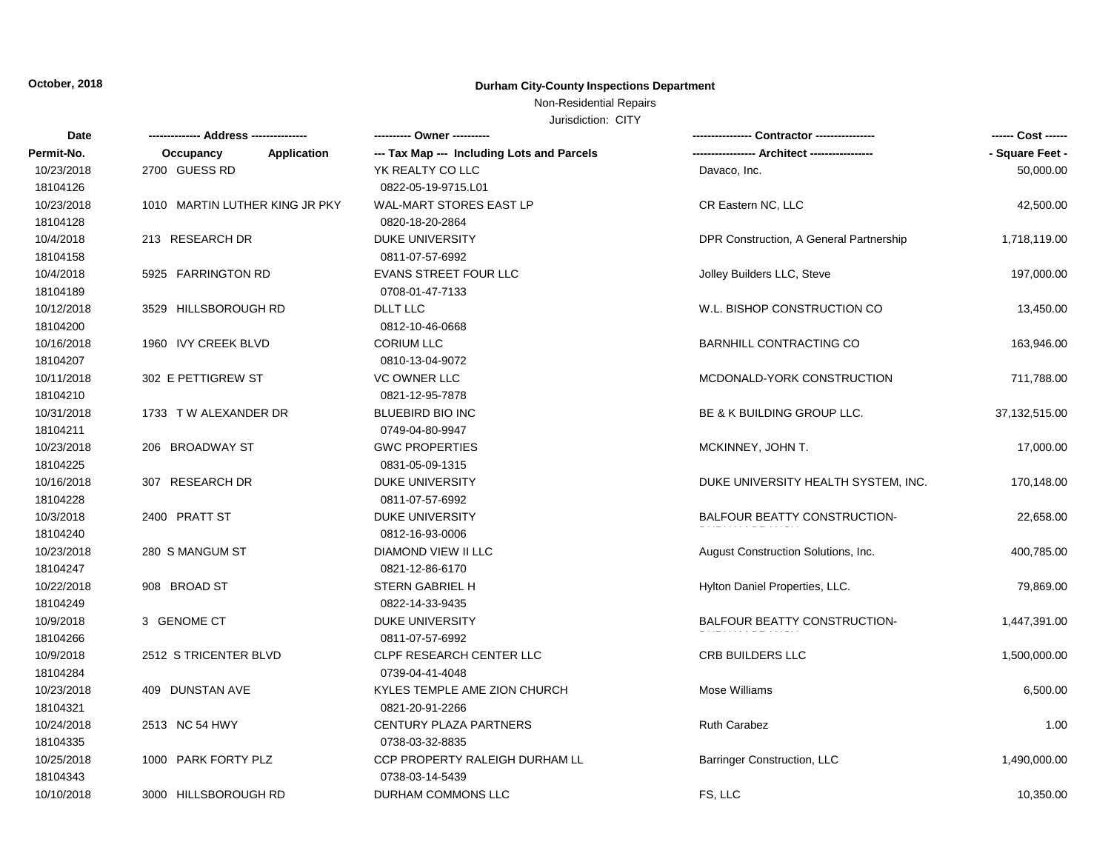## Non-Residential Repairs

| Date       |                                | ---------- Owner ----------                |                                         | ------ Cost ------ |
|------------|--------------------------------|--------------------------------------------|-----------------------------------------|--------------------|
| Permit-No. | Application<br>Occupancy       | --- Tax Map --- Including Lots and Parcels | -- Architect -----------                | - Square Feet -    |
| 10/23/2018 | 2700 GUESS RD                  | YK REALTY CO LLC                           | Davaco, Inc.                            | 50,000.00          |
| 18104126   |                                | 0822-05-19-9715.L01                        |                                         |                    |
| 10/23/2018 | 1010 MARTIN LUTHER KING JR PKY | <b>WAL-MART STORES EAST LP</b>             | CR Eastern NC, LLC                      | 42,500.00          |
| 18104128   |                                | 0820-18-20-2864                            |                                         |                    |
| 10/4/2018  | 213 RESEARCH DR                | <b>DUKE UNIVERSITY</b>                     | DPR Construction, A General Partnership | 1,718,119.00       |
| 18104158   |                                | 0811-07-57-6992                            |                                         |                    |
| 10/4/2018  | 5925 FARRINGTON RD             | <b>EVANS STREET FOUR LLC</b>               | Jolley Builders LLC, Steve              | 197,000.00         |
| 18104189   |                                | 0708-01-47-7133                            |                                         |                    |
| 10/12/2018 | 3529 HILLSBOROUGH RD           | DLLT LLC                                   | W.L. BISHOP CONSTRUCTION CO             | 13,450.00          |
| 18104200   |                                | 0812-10-46-0668                            |                                         |                    |
| 10/16/2018 | 1960 IVY CREEK BLVD            | <b>CORIUM LLC</b>                          | <b>BARNHILL CONTRACTING CO</b>          | 163,946.00         |
| 18104207   |                                | 0810-13-04-9072                            |                                         |                    |
| 10/11/2018 | 302 E PETTIGREW ST             | <b>VC OWNER LLC</b>                        | MCDONALD-YORK CONSTRUCTION              | 711,788.00         |
| 18104210   |                                | 0821-12-95-7878                            |                                         |                    |
| 10/31/2018 | 1733 T W ALEXANDER DR          | <b>BLUEBIRD BIO INC</b>                    | BE & K BUILDING GROUP LLC.              | 37,132,515.00      |
| 18104211   |                                | 0749-04-80-9947                            |                                         |                    |
| 10/23/2018 | 206 BROADWAY ST                | <b>GWC PROPERTIES</b>                      | MCKINNEY, JOHN T.                       | 17,000.00          |
| 18104225   |                                | 0831-05-09-1315                            |                                         |                    |
| 10/16/2018 | 307 RESEARCH DR                | <b>DUKE UNIVERSITY</b>                     | DUKE UNIVERSITY HEALTH SYSTEM, INC.     | 170,148.00         |
| 18104228   |                                | 0811-07-57-6992                            |                                         |                    |
| 10/3/2018  | 2400 PRATT ST                  | <b>DUKE UNIVERSITY</b>                     | BALFOUR BEATTY CONSTRUCTION-            | 22,658.00          |
| 18104240   |                                | 0812-16-93-0006                            |                                         |                    |
| 10/23/2018 | 280 S MANGUM ST                | DIAMOND VIEW II LLC                        | August Construction Solutions, Inc.     | 400,785.00         |
| 18104247   |                                | 0821-12-86-6170                            |                                         |                    |
| 10/22/2018 | 908 BROAD ST                   | STERN GABRIEL H                            | Hylton Daniel Properties, LLC.          | 79,869.00          |
| 18104249   |                                | 0822-14-33-9435                            |                                         |                    |
| 10/9/2018  | 3 GENOME CT                    | <b>DUKE UNIVERSITY</b>                     | <b>BALFOUR BEATTY CONSTRUCTION-</b>     | 1,447,391.00       |
| 18104266   |                                | 0811-07-57-6992                            |                                         |                    |
| 10/9/2018  | 2512 S TRICENTER BLVD          | CLPF RESEARCH CENTER LLC                   | <b>CRB BUILDERS LLC</b>                 | 1,500,000.00       |
| 18104284   |                                | 0739-04-41-4048                            |                                         |                    |
| 10/23/2018 | 409 DUNSTAN AVE                | KYLES TEMPLE AME ZION CHURCH               | Mose Williams                           | 6,500.00           |
| 18104321   |                                | 0821-20-91-2266                            |                                         |                    |
| 10/24/2018 | 2513 NC 54 HWY                 | <b>CENTURY PLAZA PARTNERS</b>              | <b>Ruth Carabez</b>                     | 1.00               |
| 18104335   |                                | 0738-03-32-8835                            |                                         |                    |
| 10/25/2018 | 1000 PARK FORTY PLZ            | CCP PROPERTY RALEIGH DURHAM LL             | <b>Barringer Construction, LLC</b>      | 1,490,000.00       |
| 18104343   |                                | 0738-03-14-5439                            |                                         |                    |
| 10/10/2018 | 3000 HILLSBOROUGH RD           | DURHAM COMMONS LLC                         | FS, LLC                                 | 10,350.00          |